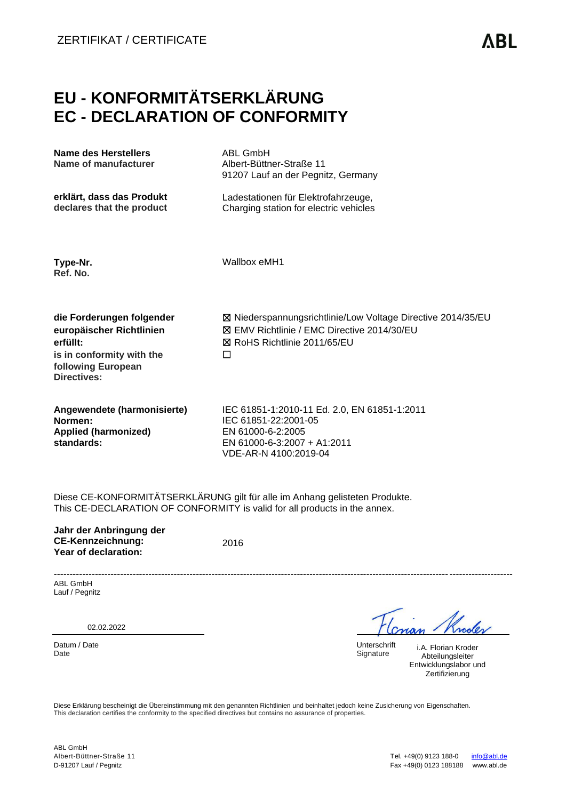## **EU - KONFORMITÄTSERKLÄRUNG EC - DECLARATION OF CONFORMITY**

| <b>Name des Herstellers</b><br>Name of manufacturer                                                                                 | <b>ABL GmbH</b><br>Albert-Büttner-Straße 11<br>91207 Lauf an der Pegnitz, Germany                                                                 |  |  |
|-------------------------------------------------------------------------------------------------------------------------------------|---------------------------------------------------------------------------------------------------------------------------------------------------|--|--|
| erklärt, dass das Produkt<br>declares that the product                                                                              | Ladestationen für Elektrofahrzeuge,<br>Charging station for electric vehicles                                                                     |  |  |
| Type-Nr.<br>Ref. No.                                                                                                                | Wallbox eMH1                                                                                                                                      |  |  |
| die Forderungen folgender<br>europäischer Richtlinien<br>erfüllt:<br>is in conformity with the<br>following European<br>Directives: | ⊠ Niederspannungsrichtlinie/Low Voltage Directive 2014/35/EU<br>⊠ EMV Richtlinie / EMC Directive 2014/30/EU<br>风 RoHS Richtlinie 2011/65/EU<br>□  |  |  |
| Angewendete (harmonisierte)<br>Normen:<br><b>Applied (harmonized)</b><br>standards:                                                 | IEC 61851-1:2010-11 Ed. 2.0, EN 61851-1:2011<br>IEC 61851-22:2001-05<br>EN 61000-6-2:2005<br>EN 61000-6-3:2007 + A1:2011<br>VDE-AR-N 4100:2019-04 |  |  |

Diese CE-KONFORMITÄTSERKLÄRUNG gilt für alle im Anhang gelisteten Produkte. This CE-DECLARATION OF CONFORMITY is valid for all products in the annex.

**Jahr der Anbringung der CE-Kennzeichnung: Year of declaration:**

2016

------------------------------------------------------------------------------------------------------------------------------------------------- ABL GmbH Lauf / Pegnitz

02.02.2022

Datum / Date Unterschrift United States and Datum / Date Unterschrift Uniterschrift Unterschrift Unterschrift U Date Signature Signature Signature Signature Signature Signature Signature Signature

Knooler

i.A. Florian Kroder Abteilungsleiter Entwicklungslabor und **Zertifizierung** 

Diese Erklärung bescheinigt die Übereinstimmung mit den genannten Richtlinien und beinhaltet jedoch keine Zusicherung von Eigenschaften. This declaration certifies the conformity to the specified directives but contains no assurance of properties.